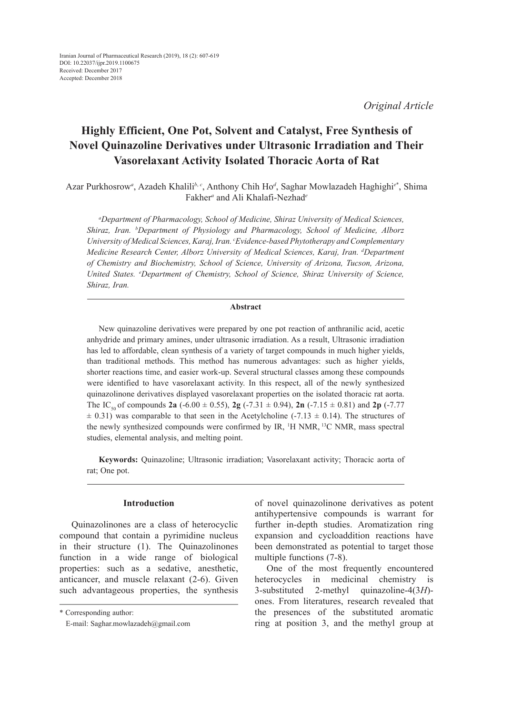*Original Article*

# **Highly Efficient, One Pot, Solvent and Catalyst, Free Synthesis of Novel Quinazoline Derivatives under Ultrasonic Irradiation and Their Vasorelaxant Activity Isolated Thoracic Aorta of Rat**

Azar Purkhosrow<sup>a</sup>, Azadeh Khalili<sup>b, c</sup>, Anthony Chih Ho<sup>d</sup>, Saghar Mowlazadeh Haghighi<sup>e\*</sup>, Shima Fakher*<sup>a</sup>* and Ali Khalafi-Nezhad*<sup>e</sup>*

*a Department of Pharmacology, School of Medicine, Shiraz University of Medical Sciences, Shiraz, Iran. b Department of Physiology and Pharmacology, School of Medicine, Alborz University of Medical Sciences, Karaj, Iran. c Evidence-based Phytotherapy and Complementary Medicine Research Center, Alborz University of Medical Sciences, Karaj, Iran. d Department of Chemistry and Biochemistry, School of Science, University of Arizona, Tucson, Arizona, United States. e Department of Chemistry, School of Science, Shiraz University of Science, Shiraz, Iran.*

#### **Abstract**

New quinazoline derivatives were prepared by one pot reaction of anthranilic acid, acetic anhydride and primary amines, under ultrasonic irradiation. As a result, Ultrasonic irradiation has led to affordable, clean synthesis of a variety of target compounds in much higher yields, than traditional methods. This method has numerous advantages: such as higher yields, shorter reactions time, and easier work-up. Several structural classes among these compounds were identified to have vasorelaxant activity. In this respect, all of the newly synthesized quinazolinone derivatives displayed vasorelaxant properties on the isolated thoracic rat aorta. The IC<sub>50</sub> of compounds **2a** (-6.00  $\pm$  0.55), **2g** (-7.31  $\pm$  0.94), **2n** (-7.15  $\pm$  0.81) and **2p** (-7.77  $\pm$  0.31) was comparable to that seen in the Acetylcholine (-7.13  $\pm$  0.14). The structures of the newly synthesized compounds were confirmed by IR, <sup>1</sup>H NMR, <sup>13</sup>C NMR, mass spectral studies, elemental analysis, and melting point.

**Keywords:** Quinazoline; Ultrasonic irradiation; Vasorelaxant activity; Thoracic aorta of rat; One pot.

## **Introduction**

Quinazolinones are a class of heterocyclic compound that contain a pyrimidine nucleus in their structure (1). The Quinazolinones function in a wide range of biological properties: such as a sedative, anesthetic, anticancer, and muscle relaxant (2-6). Given such advantageous properties, the synthesis of novel quinazolinone derivatives as potent antihypertensive compounds is warrant for further in-depth studies. Aromatization ring expansion and cycloaddition reactions have been demonstrated as potential to target those multiple functions (7-8).

One of the most frequently encountered heterocycles in medicinal chemistry is 3-substituted 2-methyl quinazoline-4(3*H*) ones. From literatures, research revealed that the presences of the substituted aromatic ring at position 3, and the methyl group at

<sup>\*</sup> Corresponding author:

E-mail: Saghar.mowlazadeh@gmail.com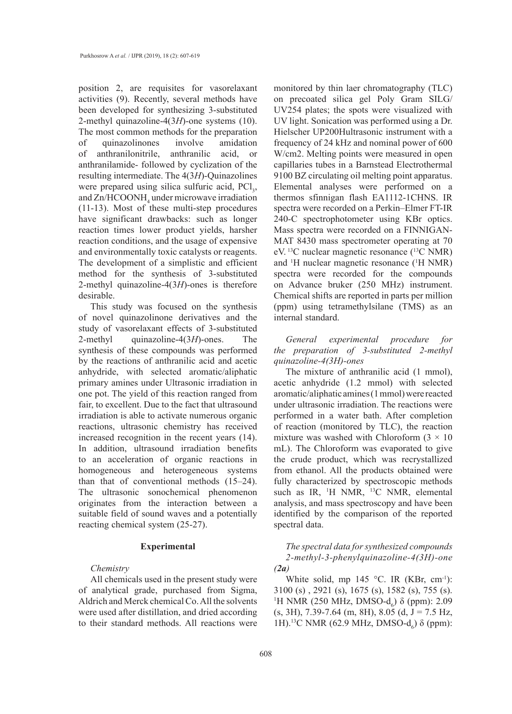position 2, are requisites for vasorelaxant activities (9). Recently, several methods have been developed for synthesizing 3-substituted 2-methyl quinazoline-4(3*H*)-one systems (10). The most common methods for the preparation of quinazolinones involve amidation of anthranilonitrile, anthranilic acid, or anthranilamide- followed by cyclization of the resulting intermediate. The 4(3*H*)-Quinazolines were prepared using silica sulfuric acid,  $\text{PCl}_3$ , and  $\text{Zn/HCOONH}_4$  under microwave irradiation (11-13). Most of these multi-step procedures have significant drawbacks: such as longer reaction times lower product yields, harsher reaction conditions, and the usage of expensive and environmentally toxic catalysts or reagents. The development of a simplistic and efficient method for the synthesis of 3-substituted 2-methyl quinazoline-4(3*H*)-ones is therefore desirable.

This study was focused on the synthesis of novel quinazolinone derivatives and the study of vasorelaxant effects of 3-substituted 2-methyl quinazoline-4(3*H*)-ones. The synthesis of these compounds was performed by the reactions of anthranilic acid and acetic anhydride, with selected aromatic/aliphatic primary amines under Ultrasonic irradiation in one pot. The yield of this reaction ranged from fair, to excellent. Due to the fact that ultrasound irradiation is able to activate numerous organic reactions, ultrasonic chemistry has received increased recognition in the recent years (14). In addition, ultrasound irradiation benefits to an acceleration of organic reactions in homogeneous and heterogeneous systems than that of conventional methods (15–24). The ultrasonic sonochemical phenomenon originates from the interaction between a suitable field of sound waves and a potentially reacting chemical system (25-27).

#### **Experimental**

#### *Chemistry*

All chemicals used in the present study were of analytical grade, purchased from Sigma, Aldrich and Merck chemical Co. All the solvents were used after distillation, and dried according to their standard methods. All reactions were monitored by thin laer chromatography (TLC) on precoated silica gel Poly Gram SILG/ UV254 plates; the spots were visualized with UV light. Sonication was performed using a Dr. Hielscher UP200Hultrasonic instrument with a frequency of 24 kHz and nominal power of 600 W/cm2. Melting points were measured in open capillaries tubes in a Barnstead Electrothermal 9100 BZ circulating oil melting point apparatus. Elemental analyses were performed on a thermos sfinnigan flash EA1112-1CHNS. IR spectra were recorded on a Perkin–Elmer FT-IR 240-C spectrophotometer using KBr optics. Mass spectra were recorded on a FINNIGAN-MAT 8430 mass spectrometer operating at 70 eV. 13C nuclear magnetic resonance (13C NMR) and <sup>1</sup>H nuclear magnetic resonance (<sup>1</sup>H NMR) spectra were recorded for the compounds on Advance bruker (250 MHz) instrument. Chemical shifts are reported in parts per million (ppm) using tetramethylsilane (TMS) as an internal standard.

*General experimental procedure for the preparation of 3-substituted 2-methyl quinazoline-4(3H)-ones*

The mixture of anthranilic acid (1 mmol), acetic anhydride (1.2 mmol) with selected aromatic/aliphatic amines (1 mmol) were reacted under ultrasonic irradiation. The reactions were performed in a water bath. After completion of reaction (monitored by TLC), the reaction mixture was washed with Chloroform  $(3 \times 10)$ mL). The Chloroform was evaporated to give the crude product, which was recrystallized from ethanol. All the products obtained were fully characterized by spectroscopic methods such as IR, <sup>1</sup>H NMR, <sup>13</sup>C NMR, elemental analysis, and mass spectroscopy and have been identified by the comparison of the reported spectral data.

*The spectral data for synthesized compounds 2-methyl-3-phenylquinazoline-4(3H)-one (2a)*

White solid, mp 145 °C. IR (KBr, cm<sup>-1</sup>): 3100 (s) , 2921 (s), 1675 (s), 1582 (s), 755 (s). <sup>1</sup>H NMR (250 MHz, DMSO- $d_6$ ) δ (ppm): 2.09  $(s, 3H)$ , 7.39-7.64 (m, 8H), 8.05 (d, J = 7.5 Hz, 1H).<sup>13</sup>C NMR (62.9 MHz, DMSO-d<sub>6</sub>) δ (ppm):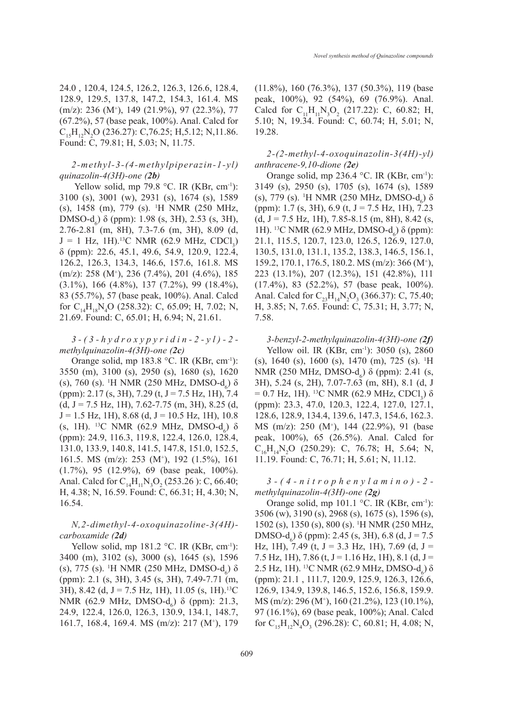24.0 , 120.4, 124.5, 126.2, 126.3, 126.6, 128.4, 128.9, 129.5, 137.8, 147.2, 154.3, 161.4. MS (m/z): 236 (M+ ), 149 (21.9%), 97 (22.3%), 77 (67.2%), 57 (base peak, 100%). Anal. Calcd for  $C_{15}H_{12}N_2O$  (236.27): C,76.25; H,5.12; N,11.86. Found: C, 79.81; H, 5.03; N, 11.75.

### *2-methyl-3-(4-methylpiperazin-1-yl) quinazolin-4(3H)-one (2b)*

Yellow solid, mp 79.8  $^{\circ}$ C. IR (KBr, cm<sup>-1</sup>): 3100 (s), 3001 (w), 2931 (s), 1674 (s), 1589 (s), 1458 (m), 779 (s). 1 H NMR (250 MHz, DMSO- $d_6$ ) δ (ppm): 1.98 (s, 3H), 2.53 (s, 3H), 2.76-2.81 (m, 8H), 7.3-7.6 (m, 3H), 8.09 (d,  $J = 1$  Hz, 1H).<sup>13</sup>C NMR (62.9 MHz, CDCl<sub>3</sub>) δ (ppm): 22.6, 45.1, 49.6, 54.9, 120.9, 122.4, 126.2, 126.3, 134.3, 146.6, 157.6, 161.8. MS (m/z): 258 (M+ ), 236 (7.4%), 201 (4.6%), 185 (3.1%), 166 (4.8%), 137 (7.2%), 99 (18.4%), 83 (55.7%), 57 (base peak, 100%). Anal. Calcd for  $C_{14}H_{18}N_4O$  (258.32): C, 65.09; H, 7.02; N, 21.69. Found: C, 65.01; H, 6.94; N, 21.61.

## *3-(3-hydroxypyridin-2-yl)-2 methylquinazolin-4(3H)-one (2c)*

Orange solid, mp 183.8 °C. IR (KBr, cm<sup>-1</sup>): 3550 (m), 3100 (s), 2950 (s), 1680 (s), 1620 (s), 760 (s). <sup>1</sup>H NMR (250 MHz, DMSO-d<sub>6</sub>) δ (ppm): 2.17 (s, 3H), 7.29 (t, J = 7.5 Hz, 1H), 7.4  $(d, J = 7.5$  Hz, 1H), 7.62-7.75 (m, 3H), 8.25 (d,  $J = 1.5$  Hz, 1H), 8.68 (d,  $J = 10.5$  Hz, 1H), 10.8 (s, 1H). <sup>13</sup>C NMR (62.9 MHz, DMSO-d<sub>6</sub>)  $\delta$ (ppm): 24.9, 116.3, 119.8, 122.4, 126.0, 128.4, 131.0, 133.9, 140.8, 141.5, 147.8, 151.0, 152.5, 161.5. MS (m/z): 253 (M+ ), 192 (1.5%), 161 (1.7%), 95 (12.9%), 69 (base peak, 100%). Anal. Calcd for  $C_{14}H_{11}N_3O_2$  (253.26): C, 66.40; H, 4.38; N, 16.59. Found: C, 66.31; H, 4.30; N, 16.54.

## *N,2-dimethyl-4-oxoquinazoline-3(4H) carboxamide (2d)*

Yellow solid, mp  $181.2$  °C. IR (KBr, cm<sup>-1</sup>): 3400 (m), 3102 (s), 3000 (s), 1645 (s), 1596 (s), 775 (s). <sup>1</sup>H NMR (250 MHz, DMSO-d<sub>6</sub>) δ (ppm): 2.1 (s, 3H), 3.45 (s, 3H), 7.49-7.71 (m, 3H), 8.42 (d, J = 7.5 Hz, 1H), 11.05 (s, 1H).<sup>13</sup>C NMR (62.9 MHz, DMSO- $d_6$ ) δ (ppm): 21.3, 24.9, 122.4, 126.0, 126.3, 130.9, 134.1, 148.7, 161.7, 168.4, 169.4. MS (m/z): 217 (M+ ), 179 (11.8%), 160 (76.3%), 137 (50.3%), 119 (base peak, 100%), 92 (54%), 69 (76.9%). Anal. Calcd for  $C_{11}H_{11}N_3O_2$  (217.22): C, 60.82; H, 5.10; N, 19.34. Found: C, 60.74; H, 5.01; N, 19.28.

*2-(2-methyl-4-oxoquinazolin-3(4H)-yl) anthracene-9,10-dione (2e)*

Orange solid, mp 236.4 °C. IR (KBr, cm<sup>-1</sup>): 3149 (s), 2950 (s), 1705 (s), 1674 (s), 1589 (s), 779 (s). <sup>1</sup>H NMR (250 MHz, DMSO-d<sub>6</sub>) δ (ppm): 1.7 (s, 3H), 6.9 (t, J = 7.5 Hz, 1H), 7.23  $(d, J = 7.5 \text{ Hz}, 1\text{H}), 7.85 - 8.15 \text{ (m, 8H)}, 8.42 \text{ (s,$ 1H). <sup>13</sup>C NMR (62.9 MHz, DMSO-d<sub>6</sub>) δ (ppm): 21.1, 115.5, 120.7, 123.0, 126.5, 126.9, 127.0, 130.5, 131.0, 131.1, 135.2, 138.3, 146.5, 156.1, 159.2, 170.1, 176.5, 180.2. MS (m/z): 366 (M+ ), 223 (13.1%), 207 (12.3%), 151 (42.8%), 111 (17.4%), 83 (52.2%), 57 (base peak, 100%). Anal. Calcd for  $C_{23}H_{14}N_2O_3$  (366.37): C, 75.40; H, 3.85; N, 7.65. Found: C, 75.31; H, 3.77; N, 7.58.

*3-benzyl-2-methylquinazolin-4(3H)-one (2f)*  Yellow oil. IR (KBr, cm<sup>-1</sup>): 3050 (s), 2860 (s), 1640 (s), 1600 (s), 1470 (m), 725 (s). 1 H NMR (250 MHz, DMSO- $d_6$ ) δ (ppm): 2.41 (s, 3H), 5.24 (s, 2H), 7.07-7.63 (m, 8H), 8.1 (d, J  $= 0.7$  Hz, 1H). <sup>13</sup>C NMR (62.9 MHz, CDCl<sub>3</sub>) δ (ppm): 23.3, 47.0, 120.3, 122.4, 127.0, 127.1, 128.6, 128.9, 134.4, 139.6, 147.3, 154.6, 162.3. MS (m/z): 250 (M+ ), 144 (22.9%), 91 (base peak, 100%), 65 (26.5%). Anal. Calcd for  $C_{16}H_{14}N_2O$  (250.29): C, 76.78; H, 5.64; N, 11.19. Found: C, 76.71; H, 5.61; N, 11.12.

## *3-(4-nitrophenylamino)-2 methylquinazolin-4(3H)-one (2g)*

Orange solid, mp 101.1 °C. IR (KBr, cm<sup>-1</sup>): 3506 (w), 3190 (s), 2968 (s), 1675 (s), 1596 (s), 1502 (s), 1350 (s), 800 (s). 1 H NMR (250 MHz, DMSO-d<sub>6</sub>) δ (ppm): 2.45 (s, 3H), 6.8 (d, J = 7.5 Hz, 1H), 7.49 (t, J = 3.3 Hz, 1H), 7.69 (d, J = 7.5 Hz, 1H), 7.86 (t, J = 1.16 Hz, 1H), 8.1 (d, J = 2.5 Hz, 1H). <sup>13</sup>C NMR (62.9 MHz, DMSO-d<sub>6</sub>) δ (ppm): 21.1 , 111.7, 120.9, 125.9, 126.3, 126.6, 126.9, 134.9, 139.8, 146.5, 152.6, 156.8, 159.9. MS (m/z): 296 (M+ ), 160 (21.2%), 123 (10.1%), 97 (16.1%), 69 (base peak, 100%); Anal. Calcd for  $C_{15}H_{12}N_4O_3$  (296.28): C, 60.81; H, 4.08; N,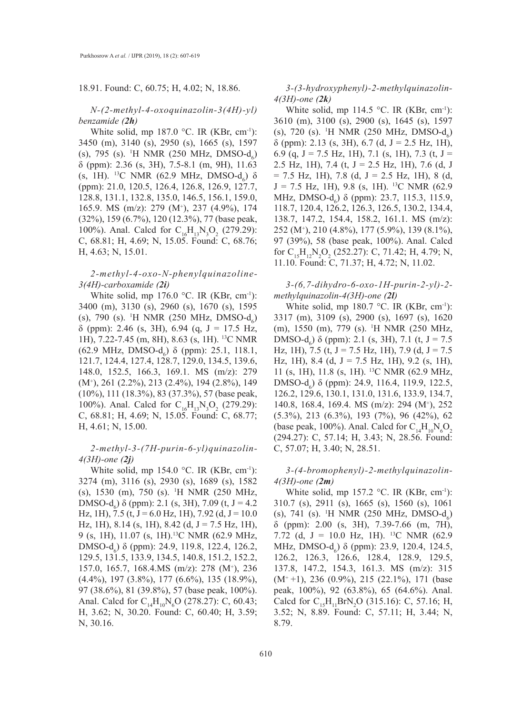#### 18.91. Found: C, 60.75; H, 4.02; N, 18.86.

#### *N-(2-methyl-4-oxoquinazolin-3(4H)-yl) benzamide (2h)*

White solid, mp 187.0 °C. IR (KBr, cm<sup>-1</sup>): 3450 (m), 3140 (s), 2950 (s), 1665 (s), 1597 (s), 795 (s). <sup>1</sup>H NMR (250 MHz, DMSO-d<sub>6</sub>) δ (ppm): 2.36 (s, 3H), 7.5-8.1 (m, 9H), 11.63 (s, 1H). <sup>13</sup>C NMR (62.9 MHz, DMSO-d<sub>6</sub>)  $\delta$ (ppm): 21.0, 120.5, 126.4, 126.8, 126.9, 127.7, 128.8, 131.1, 132.8, 135.0, 146.5, 156.1, 159.0, 165.9. MS (m/z): 279 (M+ ), 237 (4.9%), 174 (32%), 159 (6.7%), 120 (12.3%), 77 (base peak, 100%). Anal. Calcd for  $C_{16}H_{13}N_3O_2$  (279.29): C, 68.81; H, 4.69; N, 15.05. Found: C, 68.76; H, 4.63; N, 15.01.

## *2-methyl-4-oxo-N-phenylquinazoline-3(4H)-carboxamide (2i)*

White solid, mp  $176.0$  °C. IR (KBr, cm<sup>-1</sup>): 3400 (m), 3130 (s), 2960 (s), 1670 (s), 1595 (s), 790 (s). <sup>1</sup>H NMR (250 MHz, DMSO-d<sub>6</sub>) δ (ppm): 2.46 (s, 3H), 6.94 (q, J = 17.5 Hz, 1H), 7.22-7.45 (m, 8H), 8.63 (s, 1H). 13C NMR (62.9 MHz, DMSO- $d_6$ ) δ (ppm): 25.1, 118.1, 121.7, 124.4, 127.4, 128.7, 129.0, 134.5, 139.6, 148.0, 152.5, 166.3, 169.1. MS (m/z): 279 (M+ ), 261 (2.2%), 213 (2.4%), 194 (2.8%), 149 (10%), 111 (18.3%), 83 (37.3%), 57 (base peak, 100%). Anal. Calcd for  $C_{16}H_{13}N_3O_2$  (279.29): C, 68.81; H, 4.69; N, 15.05. Found: C, 68.77; H, 4.61; N, 15.00.

## *2-methyl-3-(7H-purin-6-yl)quinazolin-4(3H)-one (2j)*

White solid, mp 154.0  $^{\circ}$ C. IR (KBr, cm<sup>-1</sup>): 3274 (m), 3116 (s), 2930 (s), 1689 (s), 1582 (s), 1530 (m), 750 (s). 1 H NMR (250 MHz, DMSO-d<sub>6</sub>) δ (ppm): 2.1 (s, 3H), 7.09 (t, J = 4.2 Hz, 1H), 7.5 (t, J = 6.0 Hz, 1H), 7.92 (d, J = 10.0 Hz, 1H), 8.14 (s, 1H), 8.42 (d,  $J = 7.5$  Hz, 1H), 9 (s, 1H), 11.07 (s, 1H).13C NMR (62.9 MHz, DMSO-d<sub>6</sub>) δ (ppm): 24.9, 119.8, 122.4, 126.2, 129.5, 131.5, 133.9, 134.5, 140.8, 151.2, 152.2, 157.0, 165.7, 168.4.MS (m/z): 278 (M+ ), 236 (4.4%), 197 (3.8%), 177 (6.6%), 135 (18.9%), 97 (38.6%), 81 (39.8%), 57 (base peak, 100%). Anal. Calcd for  $C_{14}H_{10}N_{6}O$  (278.27): C, 60.43; H, 3.62; N, 30.20. Found: C, 60.40; H, 3.59; N, 30.16.

*3-(3-hydroxyphenyl)-2-methylquinazolin-4(3H)-one (2k)* 

White solid, mp 114.5 °C. IR (KBr, cm<sup>-1</sup>): 3610 (m), 3100 (s), 2900 (s), 1645 (s), 1597 (s), 720 (s). <sup>1</sup>H NMR (250 MHz, DMSO- $d_6$ )  $\delta$  (ppm): 2.13 (s, 3H), 6.7 (d, J = 2.5 Hz, 1H), 6.9 (q,  $J = 7.5$  Hz, 1H), 7.1 (s, 1H), 7.3 (t,  $J =$ 2.5 Hz, 1H), 7.4 (t,  $J = 2.5$  Hz, 1H), 7.6 (d, J  $= 7.5$  Hz, 1H), 7.8 (d, J = 2.5 Hz, 1H), 8 (d,  $J = 7.5$  Hz, 1H), 9.8 (s, 1H). <sup>13</sup>C NMR (62.9 MHz, DMSO- $d_6$ )  $\delta$  (ppm): 23.7, 115.3, 115.9, 118.7, 120.4, 126.2, 126.3, 126.5, 130.2, 134.4, 138.7, 147.2, 154.4, 158.2, 161.1. MS (m/z): 252 (M+ ), 210 (4.8%), 177 (5.9%), 139 (8.1%), 97 (39%), 58 (base peak, 100%). Anal. Calcd for  $C_{15}H_{12}N_2O_2$  (252.27): C, 71.42; H, 4.79; N, 11.10. Found: C, 71.37; H, 4.72; N, 11.02.

*3-(6,7-dihydro-6-oxo-1H-purin-2-yl)-2 methylquinazolin-4(3H)-one (2l)*

White solid, mp 180.7 °C. IR (KBr, cm<sup>-1</sup>): 3317 (m), 3109 (s), 2900 (s), 1697 (s), 1620 (m), 1550 (m), 779 (s). 1 H NMR (250 MHz, DMSO- $d_6$ ) δ (ppm): 2.1 (s, 3H), 7.1 (t, J = 7.5 Hz, 1H), 7.5 (t,  $J = 7.5$  Hz, 1H), 7.9 (d,  $J = 7.5$ Hz, 1H), 8.4 (d,  $J = 7.5$  Hz, 1H), 9.2 (s, 1H), 11 (s, 1H), 11.8 (s, 1H). 13C NMR (62.9 MHz, DMSO- $d_6$ ) δ (ppm): 24.9, 116.4, 119.9, 122.5, 126.2, 129.6, 130.1, 131.0, 131.6, 133.9, 134.7, 140.8, 168.4, 169.4. MS (m/z): 294 (M+ ), 252 (5.3%), 213 (6.3%), 193 (7%), 96 (42%), 62 (base peak, 100%). Anal. Calcd for  $C_{14}H_{10}N_6O_2$ (294.27): C, 57.14; H, 3.43; N, 28.56. Found: C, 57.07; H, 3.40; N, 28.51.

#### *3-(4-bromophenyl)-2-methylquinazolin-4(3H)-one (2m)*

White solid, mp 157.2  $\degree$ C. IR (KBr, cm<sup>-1</sup>): 310.7 (s), 2911 (s), 1665 (s), 1560 (s), 1061 (s), 741 (s). <sup>1</sup>H NMR (250 MHz, DMSO- $d_6$ ) δ (ppm): 2.00 (s, 3H), 7.39-7.66 (m, 7H), 7.72 (d, J = 10.0 Hz, 1H). 13C NMR (62.9 MHz, DMSO- $d_6$ )  $\delta$  (ppm): 23.9, 120.4, 124.5, 126.2, 126.3, 126.6, 128.4, 128.9, 129.5, 137.8, 147.2, 154.3, 161.3. MS (m/z): 315 (M+ +1), 236 (0.9%), 215 (22.1%), 171 (base peak, 100%), 92 (63.8%), 65 (64.6%). Anal. Calcd for  $C_{15}H_{11}BrN_2O$  (315.16): C, 57.16; H, 3.52; N, 8.89. Found: C, 57.11; H, 3.44; N, 8.79.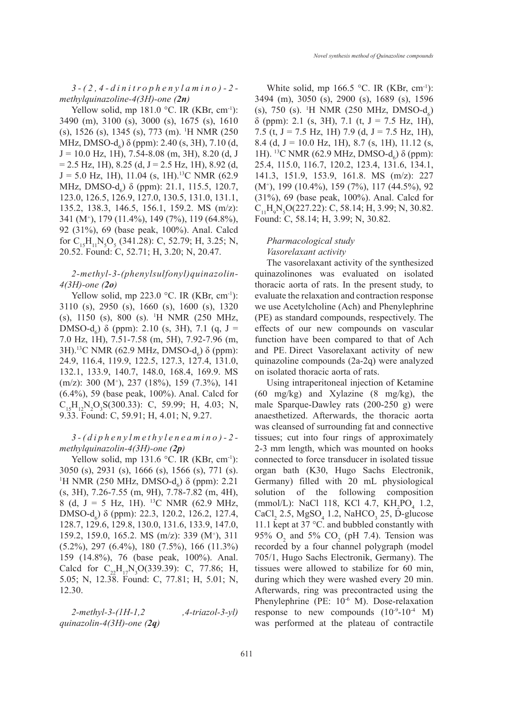*3-(2,4-dinitrophenylamino)-2 methylquinazoline-4(3H)-one (2n)*

Yellow solid, mp  $181.0$  °C. IR (KBr, cm<sup>-1</sup>): 3490 (m), 3100 (s), 3000 (s), 1675 (s), 1610 (s), 1526 (s), 1345 (s), 773 (m). 1 H NMR (250 MHz, DMSO- $d_6$ )  $\delta$  (ppm): 2.40 (s, 3H), 7.10 (d,  $J = 10.0$  Hz, 1H), 7.54-8.08 (m, 3H), 8.20 (d, J  $= 2.5$  Hz, 1H), 8.25 (d, J = 2.5 Hz, 1H), 8.92 (d,  $J = 5.0$  Hz, 1H), 11.04 (s, 1H).<sup>13</sup>C NMR (62.9) MHz, DMSO- $d_6$ )  $\delta$  (ppm): 21.1, 115.5, 120.7, 123.0, 126.5, 126.9, 127.0, 130.5, 131.0, 131.1, 135.2, 138.3, 146.5, 156.1, 159.2. MS (m/z): 341 (M+ ), 179 (11.4%), 149 (7%), 119 (64.8%), 92 (31%), 69 (base peak, 100%). Anal. Calcd for  $C_{15}H_{11}N_5O_5$  (341.28): C, 52.79; H, 3.25; N, 20.52. Found: C, 52.71; H, 3.20; N, 20.47.

## *2-methyl-3-(phenylsulfonyl)quinazolin-4(3H)-one (2o)*

Yellow solid, mp  $223.0$  °C. IR (KBr, cm<sup>-1</sup>): 3110 (s), 2950 (s), 1660 (s), 1600 (s), 1320 (s), 1150 (s), 800 (s). 1 H NMR (250 MHz, DMSO-d<sub>6</sub>) δ (ppm): 2.10 (s, 3H), 7.1 (q, J = 7.0 Hz, 1H), 7.51-7.58 (m, 5H), 7.92-7.96 (m, 3H).<sup>13</sup>C NMR (62.9 MHz, DMSO-d<sub>6</sub>) δ (ppm): 24.9, 116.4, 119.9, 122.5, 127.3, 127.4, 131.0, 132.1, 133.9, 140.7, 148.0, 168.4, 169.9. MS (m/z): 300 (M+ ), 237 (18%), 159 (7.3%), 141 (6.4%), 59 (base peak, 100%). Anal. Calcd for  $C_{15}H_{12}N_2O_3S(300.33)$ : C, 59.99; H, 4.03; N, 9.33. Found: C, 59.91; H, 4.01; N, 9.27.

## *3-(diphenylmethyleneamino)-2 methylquinazolin-4(3H)-one (2p)*

Yellow solid, mp  $131.6$  °C. IR (KBr, cm<sup>-1</sup>): 3050 (s), 2931 (s), 1666 (s), 1566 (s), 771 (s). <sup>1</sup>H NMR (250 MHz, DMSO- $d_6$ ) δ (ppm): 2.21 (s, 3H), 7.26-7.55 (m, 9H), 7.78-7.82 (m, 4H), 8 (d, J = 5 Hz, 1H). 13C NMR (62.9 MHz, DMSO- $d$ <sub>6</sub>) δ (ppm): 22.3, 120.2, 126.2, 127.4, 128.7, 129.6, 129.8, 130.0, 131.6, 133.9, 147.0, 159.2, 159.0, 165.2. MS (m/z): 339 (M+ ), 311 (5.2%), 297 (6.4%), 180 (7.5%), 166 (11.3%) 159 (14.8%), 76 (base peak, 100%). Anal. Calcd for  $C_{22}H_{17}N_3O(339.39)$ : C, 77.86; H, 5.05; N, 12.38. Found: C, 77.81; H, 5.01; N, 12.30.

*2-methyl-3-(1H-1,2 ,4-triazol-3-yl) quinazolin-4(3H)-one (2q)* 

White solid, mp 166.5  $\degree$ C. IR (KBr, cm<sup>-1</sup>): 3494 (m), 3050 (s), 2900 (s), 1689 (s), 1596 (s), 750 (s). <sup>1</sup>H NMR (250 MHz, DMSO-d<sub>6</sub>)  $\delta$  (ppm): 2.1 (s, 3H), 7.1 (t, J = 7.5 Hz, 1H), 7.5 (t,  $J = 7.5$  Hz, 1H) 7.9 (d,  $J = 7.5$  Hz, 1H), 8.4 (d, J = 10.0 Hz, 1H), 8.7 (s, 1H), 11.12 (s, 1H). <sup>13</sup>C NMR (62.9 MHz, DMSO-d<sub>6</sub>) δ (ppm): 25.4, 115.0, 116.7, 120.2, 123.4, 131.6, 134.1, 141.3, 151.9, 153.9, 161.8. MS (m/z): 227 (M+ ), 199 (10.4%), 159 (7%), 117 (44.5%), 92 (31%), 69 (base peak, 100%). Anal. Calcd for  $C_{11}H_9N_5O(227.22)$ : C, 58.14; H, 3.99; N, 30.82. Found: C, 58.14; H, 3.99; N, 30.82.

## *Pharmacological study Vasorelaxant activity*

The vasorelaxant activity of the synthesized quinazolinones was evaluated on isolated thoracic aorta of rats. In the present study, to evaluate the relaxation and contraction response we use Acetylcholine (Ach) and Phenylephrine (PE) as standard compounds, respectively. The effects of our new compounds on vascular function have been compared to that of Ach and PE. Direct Vasorelaxant activity of new quinazoline compounds (2a-2q) were analyzed on isolated thoracic aorta of rats.

Using intraperitoneal injection of Ketamine (60 mg/kg) and Xylazine (8 mg/kg), the male Sparque-Dawley rats (200-250 g) were anaesthetized. Afterwards, the thoracic aorta was cleansed of surrounding fat and connective tissues; cut into four rings of approximately 2-3 mm length, which was mounted on hooks connected to force transducer in isolated tissue organ bath (K30, Hugo Sachs Electronik, Germany) filled with 20 mL physiological solution of the following composition  $(mmol/L):$  NaCl 118, KCl 4.7,  $KH_2PO_4$  1.2,  $CaCl<sub>2</sub>$  2.5, MgSO<sub>4</sub> 1.2, NaHCO<sub>3</sub> 25, D-glucose 11.1 kept at 37  $\degree$ C. and bubbled constantly with 95%  $O_2$  and 5%  $CO_2$  (pH 7.4). Tension was recorded by a four channel polygraph (model 705/1, Hugo Sachs Electronik, Germany). The tissues were allowed to stabilize for 60 min, during which they were washed every 20 min. Afterwards, ring was precontracted using the Phenylephrine (PE: 10<sup>-6</sup> M). Dose-relaxation response to new compounds  $(10^{-9}-10^{-4} \text{ M})$ was performed at the plateau of contractile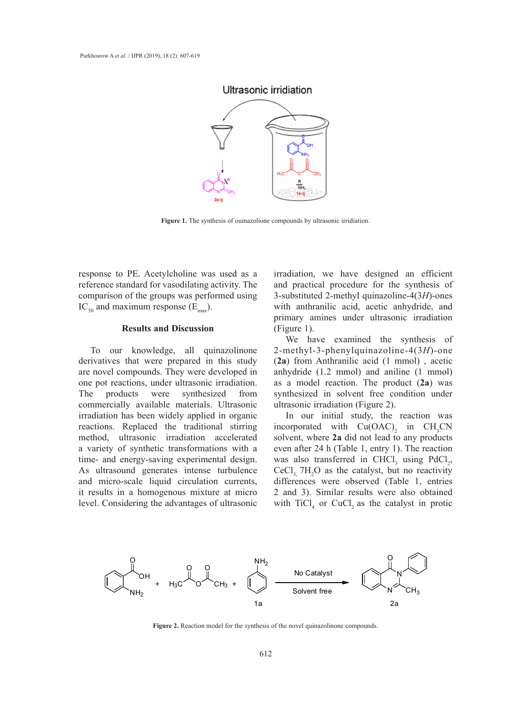## Ultrasonic irridiation



Figure 1. The synthesis of ouinazolione compounds by ultrasonic irridiation.

response to PE. Acetylcholine was used as a irradiation, we have reference standard for vasodilating activity. The comparison of the groups was performed using  $IC_{50}$  and maximum response  $(E_{\text{max}})$ .

#### **Results and Discussion**

To our knowledge, all quinazolinone derivatives that were prepared in this study (2a) from Anthranilic acid (1 mmol), are novel compounds. They were developed in one pot reactions, under ultrasonic irradiation. The products were synthesized from commercially available materials. Ultrasonic irradiation has been widely applied in organic reactions. Replaced the traditional stirring method, ultrasonic irradiation accelerated a variety of synthetic transformations with a time- and energy-saving experimental design. As ultrasound generates intense turbulence and micro-scale liquid circulation currents, it results in a homogenous mixture at micro level. Considering the advantages of ultrasonic

irradiation, we have designed an efficient and practical procedure for the synthesis of 3-substituted 2-methyl quinazoline-4(3*H*)-ones with anthranilic acid, acetic anhydride, and primary amines under ultrasonic irradiation **Primary** from  $\overline{R}$ (Figure 1).

We have examined the synthesis of 2-methyl-3-phenylquinazoline-4(3*H*)-one (**2a**) from Anthranilic acid (1 mmol) , acetic anhydride (1.2 mmol) and aniline (1 mmol) as a model reaction. The product (**2a**) was synthesized in solvent free condition under ultrasonic irradiation (Figure 2).

> In our initial study, the reaction was incorporated with  $Cu(OAC)_{2}$  in  $CH_{3}CN$ solvent, where **2a** did not lead to any products even after 24 h (Table 1, entry 1). The reaction was also transferred in CHCl<sub>3</sub> using  $PdCl_2$ ,  $CeCl<sub>3</sub>$ , 7H<sub>2</sub>O as the catalyst, but no reactivity differences were observed (Table 1, entries 2 and 3). Similar results were also obtained with  $TiCl<sub>4</sub>$  or CuCl<sub>2</sub> as the catalyst in protic



Figure 2. Reaction model for the synthesis of the novel quinazolinone compounds.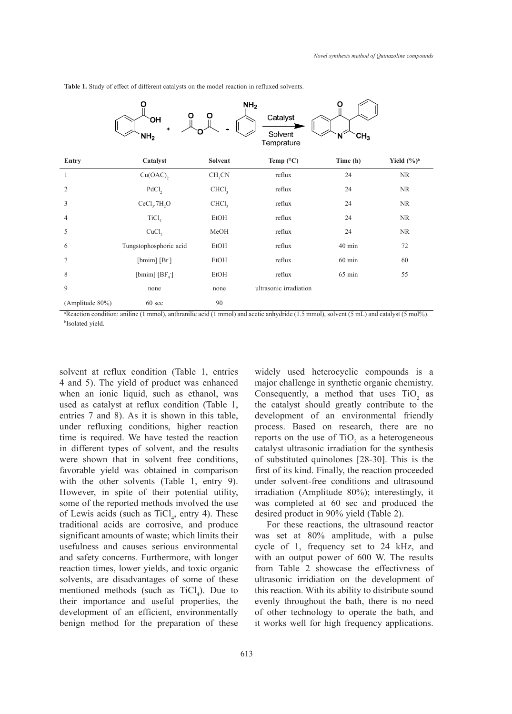|                 |                                      |                    | NH <sub>2</sub>        | Ο                    |                         |
|-----------------|--------------------------------------|--------------------|------------------------|----------------------|-------------------------|
|                 | ი<br><b>OH</b>                       | О                  | Catalyst               |                      |                         |
|                 | $\ddot{}$<br>NH <sub>2</sub>         |                    | Solvent<br>Temprature  | CH <sub>3</sub><br>N |                         |
| <b>Entry</b>    | Catalyst                             | <b>Solvent</b>     | Temp (°C)              | Time (h)             | Yield $(\frac{6}{9})^b$ |
| 1               | Cu(OAC),                             | CH <sub>3</sub> CN | reflux                 | 24                   | NR                      |
| $\overline{2}$  | PdCl <sub>2</sub>                    | CHCl <sub>3</sub>  | reflux                 | 24                   | NR                      |
| 3               | CeCl <sub>3</sub> .7H <sub>2</sub> O | CHCl <sub>3</sub>  | reflux                 | 24                   | NR                      |
| 4               | TiCl <sub>4</sub>                    | EtOH               | reflux                 | 24                   | <b>NR</b>               |
| 5               | CuCl <sub>2</sub>                    | MeOH               | reflux                 | 24                   | NR                      |
| 6               | Tungstophosphoric acid               | EtOH               | reflux                 | $40$ min             | 72                      |
| 7               | [bmim] [Br]                          | EtOH               | reflux                 | $60$ min             | 60                      |
| 8               | [bmim] $[BF_4]$                      | EtOH               | reflux                 | $65$ min             | 55                      |
| 9               | none                                 | none               | ultrasonic irradiation |                      |                         |
| (Amplitude 80%) | 60 sec                               | 90                 |                        |                      |                         |

**Table 1.** Study of effect of different catalysts on the model reaction in refluxed solvents. **Table 1.** Study of effect of different catalysts on the model reaction in refluxed solvents.

a Reaction condition: aniline (1 mmol), anthranilic acid (1 mmol) and acetic anhydride (1.5 mmol), solvent (5 mL) and catalyst (5 mol%). b Isolated yield.  $\frac{1}{2}$  solated yield.

solvent at reflux condition (Table 1, entries 4 and 5). The yield of product was enhanced when an ionic liquid, such as ethanol, was used as catalyst at reflux condition (Table 1, entries 7 and 8). As it is shown in this table, under refluxing conditions, higher reaction time is required. We have tested the reaction in different types of solvent, and the results were shown that in solvent free conditions, favorable yield was obtained in comparison with the other solvents (Table 1, entry 9). However, in spite of their potential utility, some of the reported methods involved the use of Lewis acids (such as  $TiCl<sub>4</sub>$ , entry 4). These traditional acids are corrosive, and produce significant amounts of waste; which limits their usefulness and causes serious environmental and safety concerns. Furthermore, with longer reaction times, lower yields, and toxic organic solvents, are disadvantages of some of these mentioned methods (such as  $TiCl<sub>4</sub>$ ). Due to their importance and useful properties, the development of an efficient, environmentally benign method for the preparation of these

widely used heterocyclic compounds is a major challenge in synthetic organic chemistry. Consequently, a method that uses  $TiO<sub>2</sub>$  as the catalyst should greatly contribute to the development of an environmental friendly process. Based on research, there are no reports on the use of  $TiO_2$  as a heterogeneous catalyst ultrasonic irradiation for the synthesis of substituted quinolones [28-30]. This is the first of its kind. Finally, the reaction proceeded under solvent-free conditions and ultrasound irradiation (Amplitude 80%); interestingly, it was completed at 60 sec and produced the desired product in 90% yield (Table 2).

For these reactions, the ultrasound reactor was set at 80% amplitude, with a pulse cycle of 1, frequency set to 24 kHz, and with an output power of 600 W. The results from Table 2 showcase the effectivness of ultrasonic irridiation on the development of this reaction. With its ability to distribute sound evenly throughout the bath, there is no need of other technology to operate the bath, and it works well for high frequency applications.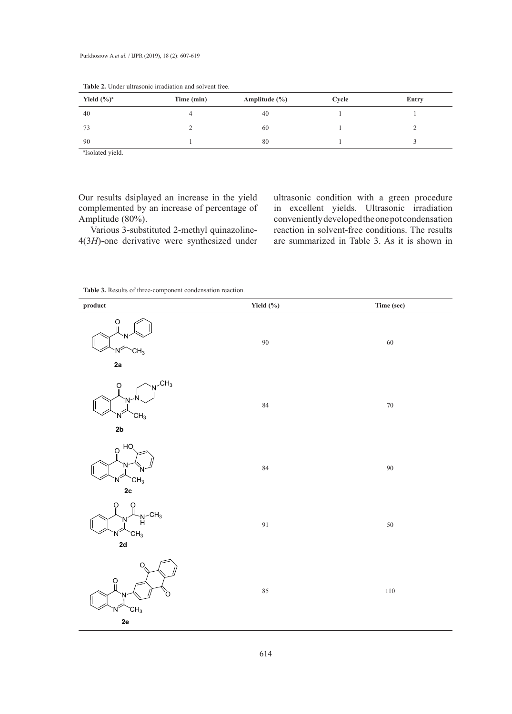| Yield $(\frac{6}{9})^a$ | Time (min) | Amplitude $(\% )$ | Cycle | Entry |
|-------------------------|------------|-------------------|-------|-------|
| 40                      | 4          | 40                |       |       |
| 73                      |            | 60                |       |       |
| 90                      |            | 80                |       |       |

**Table 2.** Under ultrasonic irradiation and solvent free.

a Isolated yield.

Our results dsiplayed an increase in the yield complemented by an increase of percentage of Amplitude (80%).

Various 3-substituted 2-methyl quinazoline-4(3*H*)-one derivative were synthesized under ultrasonic condition with a green procedure in excellent yields. Ultrasonic irradiation conveniently developed the one pot condensation reaction in solvent-free conditions. The results are summarized in Table 3. As it is shown in

**Table 3.** Results of three-component condensation reaction.

| $\boldsymbol{\mathsf{product}}$                                       | Yield $(\% )$ | Time (sec) |
|-----------------------------------------------------------------------|---------------|------------|
| $\overline{O}$<br>CH <sub>3</sub><br>2a                               | $90\,$        | $60\,$     |
| $N$ <sup>CH<sub>3</sub></sup><br>O<br>Ν<br>CH <sub>3</sub><br>Ν<br>2b | 84            | $70\,$     |
| HO<br>$\Omega$<br>'N<br>CH <sub>3</sub><br>'N<br>2c                   | $\bf 84$      | $90\,$     |
| O<br>$\n  M-CH3\n  M$<br>'N<br>CH <sub>3</sub><br>N<br>2d             | 91            | $50\,$     |
| $\Omega$<br>O<br>CH <sub>3</sub><br>N<br>2e                           | $85\,$        | $110\,$    |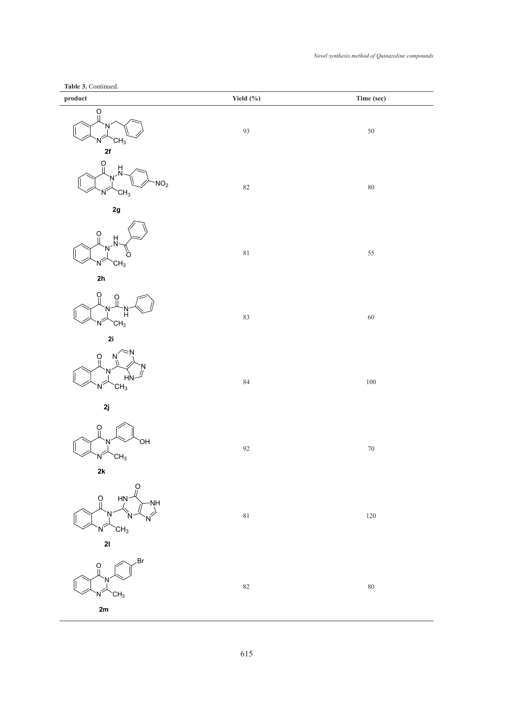## **Table 3.** Continued.

| rable 5. Commued.<br>product                                                                                                                                                                                                                                                                                                                                                          | Yield $(\% )$ | Time (sec) |
|---------------------------------------------------------------------------------------------------------------------------------------------------------------------------------------------------------------------------------------------------------------------------------------------------------------------------------------------------------------------------------------|---------------|------------|
| ဝူ<br>N<br>CH <sub>3</sub><br>Ν<br>2f                                                                                                                                                                                                                                                                                                                                                 | 93            | $50\,$     |
| O<br>H<br>N<br>N<br>NO <sub>2</sub><br>CH <sub>3</sub><br>N                                                                                                                                                                                                                                                                                                                           | $82\,$        | $80\,$     |
| 2g<br>ဝူ<br>$\frac{H}{N}$<br>N<br>O<br>CH <sub>3</sub><br>N<br>2 <sub>h</sub>                                                                                                                                                                                                                                                                                                         | $81\,$        | 55         |
| O<br>O<br>H,<br>CH <sub>3</sub><br>Ν<br>2i                                                                                                                                                                                                                                                                                                                                            | 83            | 60         |
| Ŏ<br>N<br>N.<br>HŅ<br>CH <sub>3</sub><br>Ν                                                                                                                                                                                                                                                                                                                                            | 84            | 100        |
| 2j<br>$\Omega$<br>`OH<br>N<br>CH <sub>3</sub><br>N<br>$2\mathsf{k}$                                                                                                                                                                                                                                                                                                                   | 92            | $70\,$     |
| $\begin{picture}(180,10) \put(0,0){\line(1,0){155}} \put(15,0){\line(1,0){155}} \put(15,0){\line(1,0){155}} \put(15,0){\line(1,0){155}} \put(15,0){\line(1,0){155}} \put(15,0){\line(1,0){155}} \put(15,0){\line(1,0){155}} \put(15,0){\line(1,0){155}} \put(15,0){\line(1,0){155}} \put(15,0){\line(1,0){155}} \put(15,0){\line(1,0){155}}$<br>$N^{\geq 1}$<br>CH <sub>3</sub><br>21 | $8\sqrt{1}$   | 120        |
| .Br<br>$\frac{0}{\parallel}$<br>CH <sub>3</sub><br>2m                                                                                                                                                                                                                                                                                                                                 | $82\,$        | $80\,$     |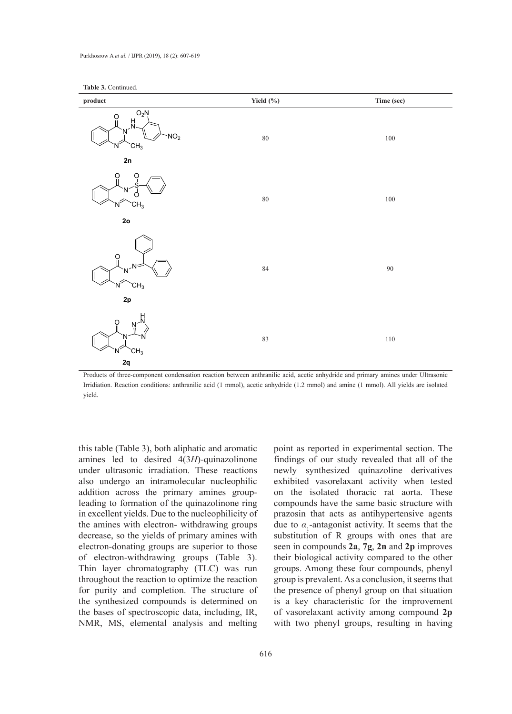

Products of three-component condensation reaction between anthranilic acid, acetic anhydride and primary amines under Ultrasonic Irridiation. Reaction conditions: anthranilic acid (1 mmol), acetic anhydride (1.2 mmol) and amine (1 mmol). All yields are isolated yield.

this table (Table 3), both aliphatic and aromatic amines led to desired 4(3*H*)-quinazolinone under ultrasonic irradiation. These reactions also undergo an intramolecular nucleophilic addition across the primary amines groupleading to formation of the quinazolinone ring in excellent yields. Due to the nucleophilicity of the amines with electron- withdrawing groups decrease, so the yields of primary amines with electron-donating groups are superior to those of electron-withdrawing groups (Table 3). Thin layer chromatography (TLC) was run throughout the reaction to optimize the reaction for purity and completion. The structure of the synthesized compounds is determined on the bases of spectroscopic data, including, IR, NMR, MS, elemental analysis and melting

point as reported in experimental section. The findings of our study revealed that all of the newly synthesized quinazoline derivatives exhibited vasorelaxant activity when tested on the isolated thoracic rat aorta. These compounds have the same basic structure with prazosin that acts as antihypertensive agents due to  $\alpha_1$ -antagonist activity. It seems that the substitution of R groups with ones that are seen in compounds **2a**, **7g**, **2n** and **2p** improves their biological activity compared to the other groups. Among these four compounds, phenyl group is prevalent. As a conclusion, it seems that the presence of phenyl group on that situation is a key characteristic for the improvement of vasorelaxant activity among compound **2p** with two phenyl groups, resulting in having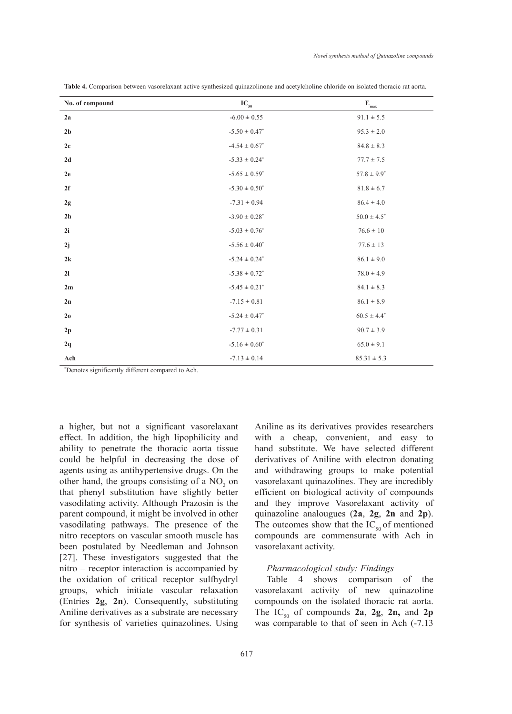| No. of compound | $IC_{50}$                       | $\mathbf{E}_{\text{max}}$ |
|-----------------|---------------------------------|---------------------------|
| 2a              | $-6.00\pm0.55$                  | $91.1 \pm 5.5$            |
| 2 <sub>b</sub>  | $\textnormal{-}5.50\pm0.47^*$   | $95.3 \pm 2.0$            |
| 2c              | $-4.54\pm0.67^*$                | $84.8\pm8.3$              |
| $2d$            | $\textnormal{-}5.33 \pm 0.24^*$ | $77.7 \pm 7.5$            |
| 2e              | $-5.65\pm0.59^*$                | $57.8 \pm 9.9^*$          |
| 2f              | $-5.30\pm0.50^*$                | $81.8 \pm 6.7$            |
| 2g              | $-7.31\pm0.94$                  | $86.4 \pm 4.0$            |
| $2\,\mathrm{h}$ | $-3.90 \pm 0.28$ <sup>*</sup>   | $50.0 \pm 4.5^\ast$       |
| 2i              | $\textnormal{-}5.03 \pm 0.76^*$ | $76.6\pm10$               |
| 2j              | $\textnormal{-}5.56 \pm 0.40^*$ | $77.6 \pm 13$             |
| 2k              | $\textnormal{-}5.24 \pm 0.24^*$ | $86.1\pm9.0$              |
| 21              | $\textbf{-5.38} \pm 0.72^*$     | $78.0 \pm 4.9$            |
| 2m              | $\textnormal{-}5.45 \pm 0.21^*$ | $84.1\pm8.3$              |
| 2n              | $-7.15\pm0.81$                  | $86.1 \pm 8.9$            |
| 2 <sub>0</sub>  | $\textnormal{-}5.24 \pm 0.47^*$ | $60.5 \pm 4.4^*$          |
| 2p              | $-7.77 \pm 0.31$                | $90.7 \pm 3.9$            |
| 2q              | $-5.16 \pm 0.60^*$              | $65.0 \pm 9.1$            |
| Ach             | $-7.13 \pm 0.14$                | $85.31 \pm 5.3$           |

**Table 4.** Comparison between vasorelaxant active synthesized quinazolinone and acetylcholine chloride on isolated thoracic rat aorta.

\* Denotes significantly different compared to Ach.

a higher, but not a significant vasorelaxant effect. In addition, the high lipophilicity and ability to penetrate the thoracic aorta tissue could be helpful in decreasing the dose of agents using as antihypertensive drugs. On the other hand, the groups consisting of a  $NO<sub>2</sub>$  on that phenyl substitution have slightly better vasodilating activity. Although Prazosin is the parent compound, it might be involved in other vasodilating pathways. The presence of the nitro receptors on vascular smooth muscle has been postulated by Needleman and Johnson [27]. These investigators suggested that the nitro – receptor interaction is accompanied by the oxidation of critical receptor sulfhydryl groups, which initiate vascular relaxation (Entries **2g**, **2n**). Consequently, substituting Aniline derivatives as a substrate are necessary for synthesis of varieties quinazolines. Using

Aniline as its derivatives provides researchers with a cheap, convenient, and easy to hand substitute. We have selected different derivatives of Aniline with electron donating and withdrawing groups to make potential vasorelaxant quinazolines. They are incredibly efficient on biological activity of compounds and they improve Vasorelaxant activity of quinazoline analougues (**2a**, **2g**, **2n** and **2p**). The outcomes show that the  $IC_{50}$  of mentioned compounds are commensurate with Ach in vasorelaxant activity.

#### *Pharmacological study: Findings*

Table 4 shows comparison of the vasorelaxant activity of new quinazoline compounds on the isolated thoracic rat aorta. The  $IC_{50}$  of compounds 2a, 2g, 2n, and 2p was comparable to that of seen in Ach  $(-7.13)$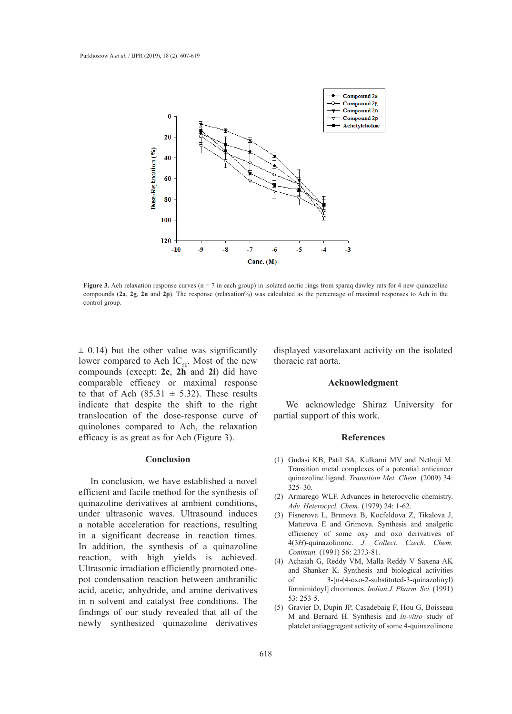

**Figure 3.** Ach relaxation response curves (n = 7 in each group) in isolated aortic rings from sparaq dawley rats for 4 new quinazoline compounds (**2a**, **2g**, **2n** and **2p**). The response (relaxation%) was calculated as the percentage of maximal responses to Ach in the control group.

 $\pm$  0.14) but the other value was significantly lower compared to Ach  $IC_{50}$ . Most of the new thoracic rat aorta. compounds (except: **2c**, **2h** and **2i**) did have comparable efficacy or maximal response to that of Ach  $(85.31 \pm 5.32)$ . These results indicate that despite the shift to the right translocation of the dose-response curve of quinolones compared to Ach, the relaxation efficacy is as great as for Ach (Figure 3).

#### **Conclusion**

In conclusion, we have established a novel efficient and facile method for the synthesis of quinazoline derivatives at ambient conditions, under ultrasonic waves. Ultrasound induces a notable acceleration for reactions, resulting in a significant decrease in reaction times. In addition, the synthesis of a quinazoline reaction, with high yields is achieved. Ultrasonic irradiation efficiently promoted onepot condensation reaction between anthranilic acid, acetic, anhydride, and amine derivatives in n solvent and catalyst free conditions. The findings of our study revealed that all of the newly synthesized quinazoline derivatives

ther value was significantly displayed vasorelaxant activity on the isolated thoracic rat aorta.

#### **Acknowledgment**

We acknowledge Shiraz University for partial support of this work.

#### **References**

- Gudasi KB, Patil SA, Kulkarni MV and Nethaji M. (1) Transition metal complexes of a potential anticancer quinazoline ligand. *Transition Met. Chem.* (2009) 34: 325–30.
- Armarego WLF. Advances in heterocyclic chemistry. (2) *Adv. Heterocycl. Chem.* (1979) 24: 1-62.
- Fisnerova L, Brunova B, Kocfeldova Z, Tikalova J, (3) Maturova E and Grimova. Synthesis and analgetic efficiency of some oxy and oxo derivatives of 4(3*H*)-quinazolinone. *J. Collect. Czech. Chem. Commun.* (1991) 56: 2373-81.
- (4) Achaiah G, Reddy VM, Malla Reddy V Saxena AK and Shanker K. Synthesis and biological activities of 3-[n-(4-oxo-2-substituted-3-quinazolinyl) formimidoyl] chromones. *Indian J. Pharm. Sci.* (1991) 53: 253-5.
- (5) Gravier D, Dupin JP, Casadebaig F, Hou G, Boisseau M and Bernard H. Synthesis and *in-vitro* study of platelet antiaggregant activity of some 4-quinazolinone